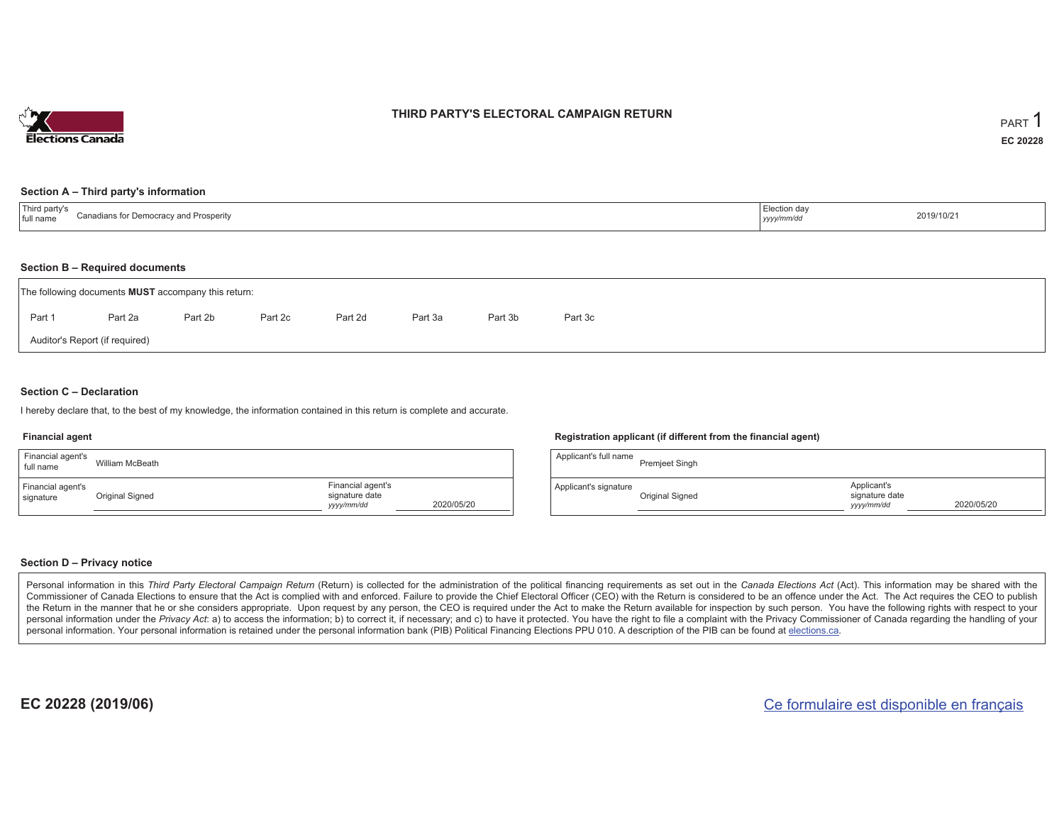

## **THIRD PARTY'S ELECTORAL CAMPAIGN RETURN**

#### **Section A – Third party's information**

| $\overline{\phantom{a}}$<br>rd party's<br>Canadians for Democrac<br><sup>→</sup> Prosperitv<br>full name<br>. Democran<br>vanu | ∟lection da∗<br>-------<br>yyyy/mm/dr | 2019/10/21 |
|--------------------------------------------------------------------------------------------------------------------------------|---------------------------------------|------------|
|--------------------------------------------------------------------------------------------------------------------------------|---------------------------------------|------------|

#### **Section B – Required documents**

|                                | The following documents <b>MUST</b> accompany this return: |         |         |         |         |         |         |  |  |  |  |
|--------------------------------|------------------------------------------------------------|---------|---------|---------|---------|---------|---------|--|--|--|--|
| Part 1                         | Part 2a                                                    | Part 2b | Part 2c | Part 2d | Part 3a | Part 3b | Part 3c |  |  |  |  |
| Auditor's Report (if required) |                                                            |         |         |         |         |         |         |  |  |  |  |

### **Section C – Declaration**

I hereby declare that, to the best of my knowledge, the information contained in this return is complete and accurate.

#### **Financial agent**

| Financial agent's<br>full name | William McBeath |                                                   |            |
|--------------------------------|-----------------|---------------------------------------------------|------------|
| Financial agent's<br>signature | Original Signed | Financial agent's<br>signature date<br>yyyy/mm/dd | 2020/05/20 |

#### **Registration applicant (if different from the financial agent)**

| Applicant's full name | <b>Premjeet Singh</b> |                                             |            |
|-----------------------|-----------------------|---------------------------------------------|------------|
| Applicant's signature | Original Signed       | Applicant's<br>signature date<br>yyyy/mm/dd | 2020/05/20 |

#### **Section D – Privacy notice**

Personal information in this Third Party Electoral Campaign Return (Return) is collected for the administration of the political financing requirements as set out in the Canada Elections Act (Act). This information may be Commissioner of Canada Elections to ensure that the Act is complied with and enforced. Failure to provide the Chief Electoral Officer (CEO) with the Return is considered to be an offence under the Act. The Act requires the the Return in the manner that he or she considers appropriate. Upon request by any person, the CEO is required under the Act to make the Return available for inspection by such person. You have the following rights with re personal information under the Privacy Act: a) to access the information; b) to correct it, if necessary; and c) to have it protected. You have the right to file a complaint with the Privacy Commissioner of Canada regardin personal information. Your personal information is retained under the personal information bank (PIB) Political Financing Elections PPU 010. A description of the PIB can be found at elections.ca.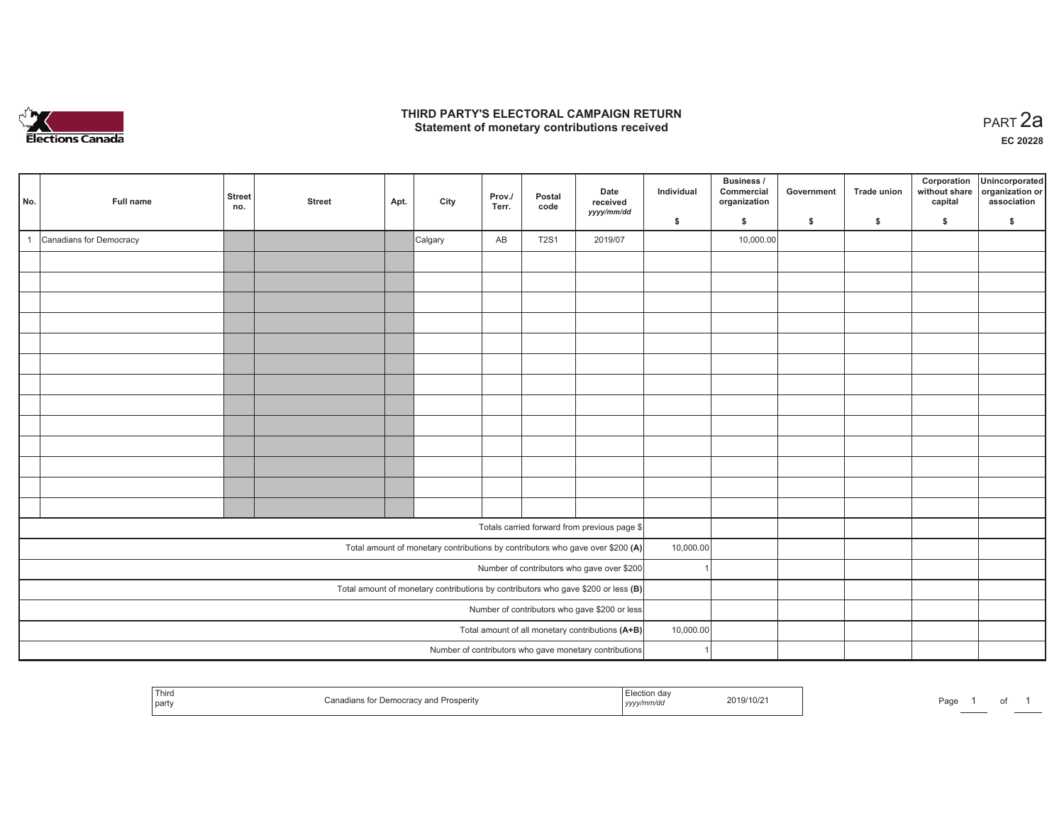

## **THIRD PARTY'S ELECTORAL CAMPAIGN RETURN HIRD PARTY'S ELECTORAL CAMPAIGN RETURN<br>Statement of monetary contributions received PART 2a**

| No. | Full name                                                                           | <b>Street</b><br>no.                             | <b>Street</b> | Apt. | City    | Prov./<br>Terr. | Postal<br>code | Date<br>received<br>yyyy/mm/dd                                                 | Individual | <b>Business /</b><br>Commercial<br>organization | Government   | Trade union | Corporation<br>without share<br>capital | Unincorporated<br>organization or<br>association |
|-----|-------------------------------------------------------------------------------------|--------------------------------------------------|---------------|------|---------|-----------------|----------------|--------------------------------------------------------------------------------|------------|-------------------------------------------------|--------------|-------------|-----------------------------------------|--------------------------------------------------|
|     |                                                                                     |                                                  |               |      |         |                 |                |                                                                                | \$         | \$                                              | $\mathsf{s}$ | \$          | \$                                      | \$                                               |
|     | Canadians for Democracy                                                             |                                                  |               |      | Calgary | AB              | <b>T2S1</b>    | 2019/07                                                                        |            | 10,000.00                                       |              |             |                                         |                                                  |
|     |                                                                                     |                                                  |               |      |         |                 |                |                                                                                |            |                                                 |              |             |                                         |                                                  |
|     |                                                                                     |                                                  |               |      |         |                 |                |                                                                                |            |                                                 |              |             |                                         |                                                  |
|     |                                                                                     |                                                  |               |      |         |                 |                |                                                                                |            |                                                 |              |             |                                         |                                                  |
|     |                                                                                     |                                                  |               |      |         |                 |                |                                                                                |            |                                                 |              |             |                                         |                                                  |
|     |                                                                                     |                                                  |               |      |         |                 |                |                                                                                |            |                                                 |              |             |                                         |                                                  |
|     |                                                                                     |                                                  |               |      |         |                 |                |                                                                                |            |                                                 |              |             |                                         |                                                  |
|     |                                                                                     |                                                  |               |      |         |                 |                |                                                                                |            |                                                 |              |             |                                         |                                                  |
|     |                                                                                     |                                                  |               |      |         |                 |                |                                                                                |            |                                                 |              |             |                                         |                                                  |
|     |                                                                                     |                                                  |               |      |         |                 |                |                                                                                |            |                                                 |              |             |                                         |                                                  |
|     |                                                                                     |                                                  |               |      |         |                 |                |                                                                                |            |                                                 |              |             |                                         |                                                  |
|     |                                                                                     |                                                  |               |      |         |                 |                |                                                                                |            |                                                 |              |             |                                         |                                                  |
|     |                                                                                     |                                                  |               |      |         |                 |                |                                                                                |            |                                                 |              |             |                                         |                                                  |
|     |                                                                                     |                                                  |               |      |         |                 |                |                                                                                |            |                                                 |              |             |                                         |                                                  |
|     |                                                                                     |                                                  |               |      |         |                 |                | Totals carried forward from previous page \$                                   |            |                                                 |              |             |                                         |                                                  |
|     |                                                                                     |                                                  |               |      |         |                 |                | Total amount of monetary contributions by contributors who gave over \$200 (A) | 10,000.00  |                                                 |              |             |                                         |                                                  |
|     |                                                                                     |                                                  |               |      |         |                 |                | Number of contributors who gave over \$200                                     |            |                                                 |              |             |                                         |                                                  |
|     | Total amount of monetary contributions by contributors who gave \$200 or less $(B)$ |                                                  |               |      |         |                 |                |                                                                                |            |                                                 |              |             |                                         |                                                  |
|     | Number of contributors who gave \$200 or less                                       |                                                  |               |      |         |                 |                |                                                                                |            |                                                 |              |             |                                         |                                                  |
|     |                                                                                     | Total amount of all monetary contributions (A+B) | 10,000.00     |      |         |                 |                |                                                                                |            |                                                 |              |             |                                         |                                                  |
|     |                                                                                     |                                                  |               |      |         |                 |                | Number of contributors who gave monetary contributions                         |            |                                                 |              |             |                                         |                                                  |

|  | <sup>1</sup> Third<br>party | or Democracy and Prosperity<br>Canadians for | lection day<br>, уууу/ | 2019/10/2 | Page | _____ |  |  |
|--|-----------------------------|----------------------------------------------|------------------------|-----------|------|-------|--|--|
|--|-----------------------------|----------------------------------------------|------------------------|-----------|------|-------|--|--|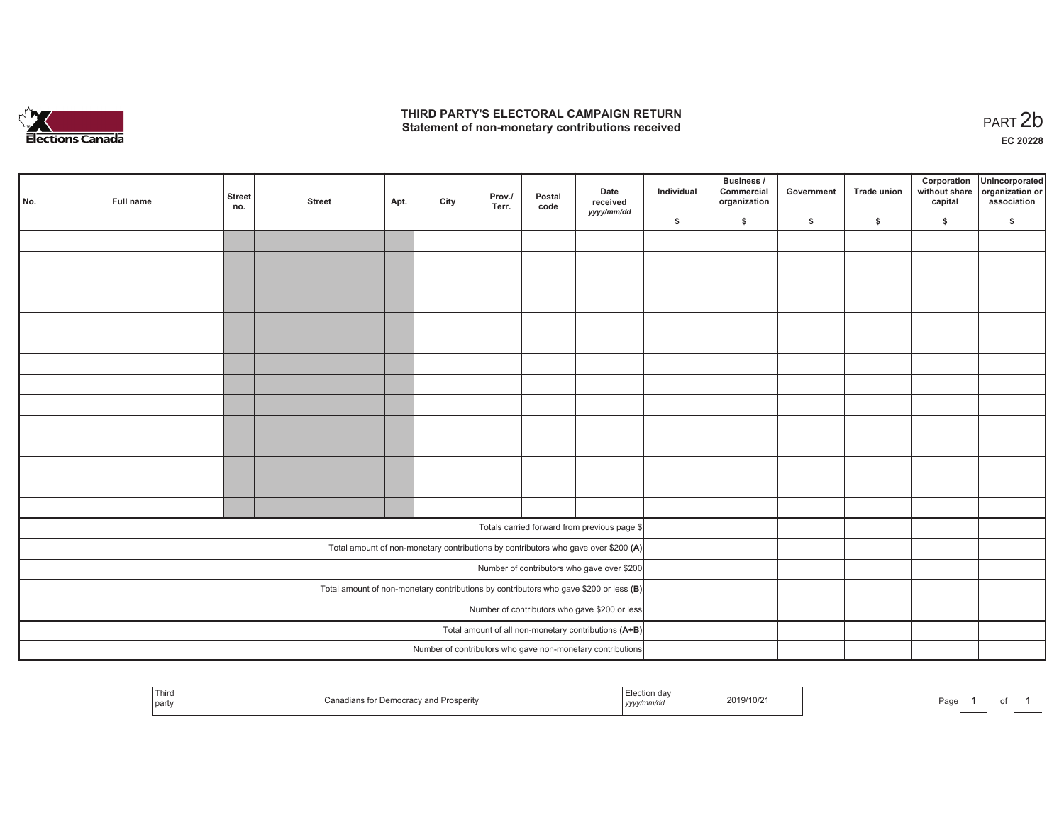

## **THIRD PARTY'S ELECTORAL CAMPAIGN RETURN**  THIRD PARTY'S ELECTORAL CAMPAIGN RETURN<br>Statement of non-monetary contributions received<br> **PART 2b**

of 1

| No.                                                                                   | Full name | <b>Street</b><br>no. | <b>Street</b> | Apt. | City | Prov./<br>Terr. | Postal<br>code | Date<br>received<br>yyyy/mm/dd                                                     | Individual | <b>Business /</b><br>Commercial<br>organization | Government | Trade union | Corporation<br>capital | Unincorporated<br>without share organization or<br>association |
|---------------------------------------------------------------------------------------|-----------|----------------------|---------------|------|------|-----------------|----------------|------------------------------------------------------------------------------------|------------|-------------------------------------------------|------------|-------------|------------------------|----------------------------------------------------------------|
|                                                                                       |           |                      |               |      |      |                 |                |                                                                                    | \$         | \$                                              | \$         | \$          | \$                     | \$                                                             |
|                                                                                       |           |                      |               |      |      |                 |                |                                                                                    |            |                                                 |            |             |                        |                                                                |
|                                                                                       |           |                      |               |      |      |                 |                |                                                                                    |            |                                                 |            |             |                        |                                                                |
|                                                                                       |           |                      |               |      |      |                 |                |                                                                                    |            |                                                 |            |             |                        |                                                                |
|                                                                                       |           |                      |               |      |      |                 |                |                                                                                    |            |                                                 |            |             |                        |                                                                |
|                                                                                       |           |                      |               |      |      |                 |                |                                                                                    |            |                                                 |            |             |                        |                                                                |
|                                                                                       |           |                      |               |      |      |                 |                |                                                                                    |            |                                                 |            |             |                        |                                                                |
|                                                                                       |           |                      |               |      |      |                 |                |                                                                                    |            |                                                 |            |             |                        |                                                                |
|                                                                                       |           |                      |               |      |      |                 |                |                                                                                    |            |                                                 |            |             |                        |                                                                |
|                                                                                       |           |                      |               |      |      |                 |                |                                                                                    |            |                                                 |            |             |                        |                                                                |
|                                                                                       |           |                      |               |      |      |                 |                |                                                                                    |            |                                                 |            |             |                        |                                                                |
|                                                                                       |           |                      |               |      |      |                 |                |                                                                                    |            |                                                 |            |             |                        |                                                                |
|                                                                                       |           |                      |               |      |      |                 |                |                                                                                    |            |                                                 |            |             |                        |                                                                |
|                                                                                       |           |                      |               |      |      |                 |                |                                                                                    |            |                                                 |            |             |                        |                                                                |
|                                                                                       |           |                      |               |      |      |                 |                |                                                                                    |            |                                                 |            |             |                        |                                                                |
|                                                                                       |           |                      |               |      |      |                 |                | Totals carried forward from previous page \$                                       |            |                                                 |            |             |                        |                                                                |
|                                                                                       |           |                      |               |      |      |                 |                |                                                                                    |            |                                                 |            |             |                        |                                                                |
|                                                                                       |           |                      |               |      |      |                 |                | Total amount of non-monetary contributions by contributors who gave over \$200 (A) |            |                                                 |            |             |                        |                                                                |
|                                                                                       |           |                      |               |      |      |                 |                | Number of contributors who gave over \$200                                         |            |                                                 |            |             |                        |                                                                |
| Total amount of non-monetary contributions by contributors who gave \$200 or less (B) |           |                      |               |      |      |                 |                |                                                                                    |            |                                                 |            |             |                        |                                                                |
| Number of contributors who gave \$200 or less                                         |           |                      |               |      |      |                 |                |                                                                                    |            |                                                 |            |             |                        |                                                                |
| Total amount of all non-monetary contributions (A+B)                                  |           |                      |               |      |      |                 |                |                                                                                    |            |                                                 |            |             |                        |                                                                |
|                                                                                       |           |                      |               |      |      |                 |                | Number of contributors who gave non-monetary contributions                         |            |                                                 |            |             |                        |                                                                |

| Third<br>da<br>2019/10/21<br>'rosperitv<br>part<br>yyyy/mm/dd | Page |  |
|---------------------------------------------------------------|------|--|
|---------------------------------------------------------------|------|--|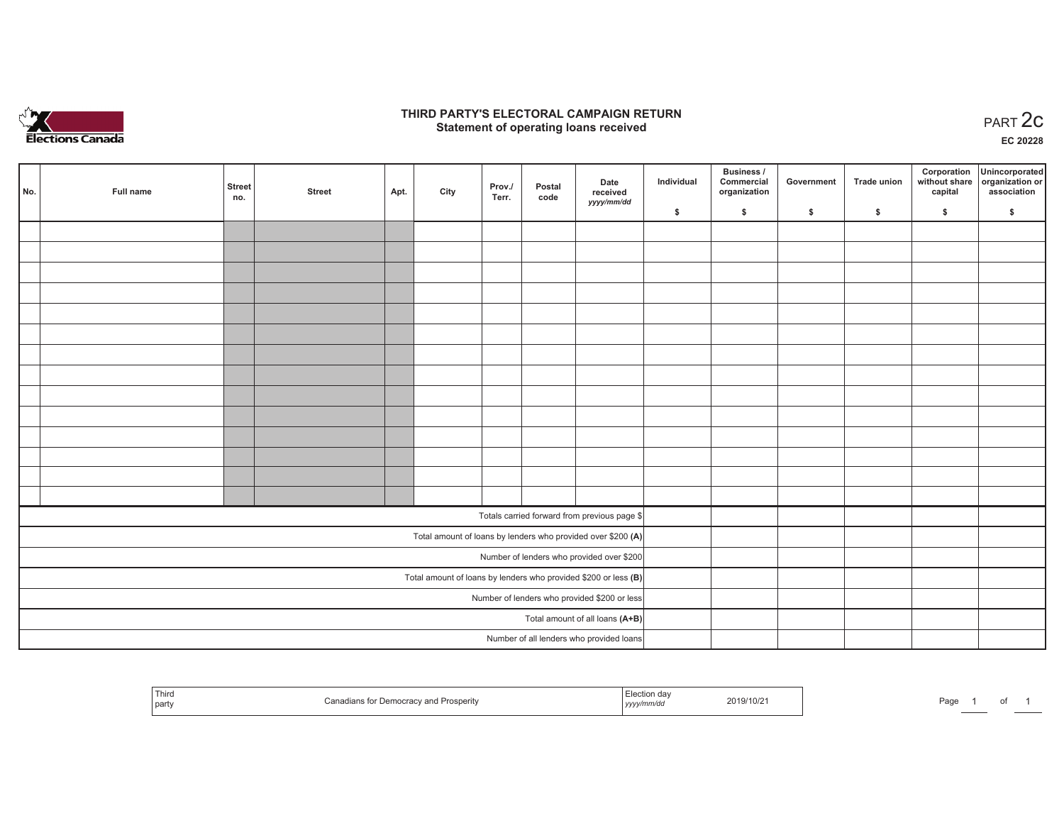

## **THIRD PARTY'S ELECTORAL CAMPAIGN RETURN STATE:** PARTY'S ELECTORAL CAMPAIGN RETURN<br>
Statement of operating loans received

**EC 20228**

| No. | Full name | <b>Street</b><br>no. | <b>Street</b> | Apt. | City | Prov./<br>Terr. | Postal<br>code | Date<br>received<br>yyyy/mm/dd                                  | Individual | <b>Business /</b><br>Commercial<br>organization | Government | <b>Trade union</b> | Corporation<br>capital | Unincorporated<br>without share organization or<br>association |
|-----|-----------|----------------------|---------------|------|------|-----------------|----------------|-----------------------------------------------------------------|------------|-------------------------------------------------|------------|--------------------|------------------------|----------------------------------------------------------------|
|     |           |                      |               |      |      |                 |                |                                                                 | \$         | \$                                              | \$         | \$                 | \$                     | \$                                                             |
|     |           |                      |               |      |      |                 |                |                                                                 |            |                                                 |            |                    |                        |                                                                |
|     |           |                      |               |      |      |                 |                |                                                                 |            |                                                 |            |                    |                        |                                                                |
|     |           |                      |               |      |      |                 |                |                                                                 |            |                                                 |            |                    |                        |                                                                |
|     |           |                      |               |      |      |                 |                |                                                                 |            |                                                 |            |                    |                        |                                                                |
|     |           |                      |               |      |      |                 |                |                                                                 |            |                                                 |            |                    |                        |                                                                |
|     |           |                      |               |      |      |                 |                |                                                                 |            |                                                 |            |                    |                        |                                                                |
|     |           |                      |               |      |      |                 |                |                                                                 |            |                                                 |            |                    |                        |                                                                |
|     |           |                      |               |      |      |                 |                |                                                                 |            |                                                 |            |                    |                        |                                                                |
|     |           |                      |               |      |      |                 |                |                                                                 |            |                                                 |            |                    |                        |                                                                |
|     |           |                      |               |      |      |                 |                |                                                                 |            |                                                 |            |                    |                        |                                                                |
|     |           |                      |               |      |      |                 |                |                                                                 |            |                                                 |            |                    |                        |                                                                |
|     |           |                      |               |      |      |                 |                |                                                                 |            |                                                 |            |                    |                        |                                                                |
|     |           |                      |               |      |      |                 |                |                                                                 |            |                                                 |            |                    |                        |                                                                |
|     |           |                      |               |      |      |                 |                |                                                                 |            |                                                 |            |                    |                        |                                                                |
|     |           |                      |               |      |      |                 |                | Totals carried forward from previous page \$                    |            |                                                 |            |                    |                        |                                                                |
|     |           |                      |               |      |      |                 |                | Total amount of loans by lenders who provided over \$200 (A)    |            |                                                 |            |                    |                        |                                                                |
|     |           |                      |               |      |      |                 |                | Number of lenders who provided over \$200                       |            |                                                 |            |                    |                        |                                                                |
|     |           |                      |               |      |      |                 |                | Total amount of loans by lenders who provided \$200 or less (B) |            |                                                 |            |                    |                        |                                                                |
|     |           |                      |               |      |      |                 |                | Number of lenders who provided \$200 or less                    |            |                                                 |            |                    |                        |                                                                |
|     |           |                      |               |      |      |                 |                | Total amount of all loans (A+B)                                 |            |                                                 |            |                    |                        |                                                                |
|     |           |                      |               |      |      |                 |                | Number of all lenders who provided loans                        |            |                                                 |            |                    |                        |                                                                |

| Third<br>Democracy and<br>Prosperity<br>  party | :lection day<br>2019/10/21<br>yyyy/mm/dd | Page |
|-------------------------------------------------|------------------------------------------|------|
|-------------------------------------------------|------------------------------------------|------|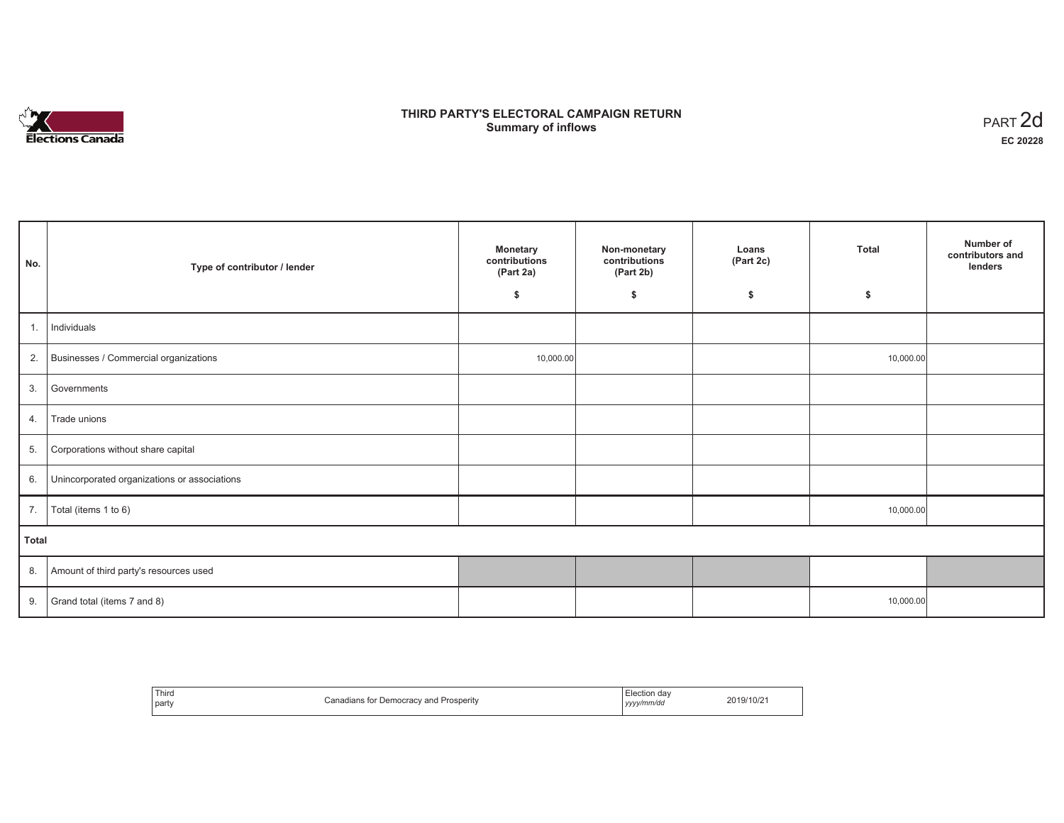

# **THIRD PARTY'S ELECTORAL CAMPAIGN RETURN Summary of inflows** PART 2d

| No.   | Type of contributor / lender                 | <b>Monetary</b><br>contributions<br>(Part 2a) | Non-monetary<br>contributions<br>(Part 2b) | Loans<br>(Part 2c) | <b>Total</b> | Number of<br>contributors and<br>lenders |
|-------|----------------------------------------------|-----------------------------------------------|--------------------------------------------|--------------------|--------------|------------------------------------------|
|       |                                              | \$                                            | \$                                         | \$                 | \$           |                                          |
| 1.    | Individuals                                  |                                               |                                            |                    |              |                                          |
| 2.    | Businesses / Commercial organizations        | 10,000.00                                     |                                            |                    | 10,000.00    |                                          |
| 3.    | Governments                                  |                                               |                                            |                    |              |                                          |
| 4.    | Trade unions                                 |                                               |                                            |                    |              |                                          |
| 5.    | Corporations without share capital           |                                               |                                            |                    |              |                                          |
| 6.    | Unincorporated organizations or associations |                                               |                                            |                    |              |                                          |
| 7.    | Total (items 1 to 6)                         |                                               |                                            |                    | 10,000.00    |                                          |
| Total |                                              |                                               |                                            |                    |              |                                          |
| 8.    | Amount of third party's resources used       |                                               |                                            |                    |              |                                          |
| 9.    | Grand total (items 7 and 8)                  |                                               |                                            |                    | 10,000.00    |                                          |

| Third<br>party | Canadians for Democracy and Prosperity | Election day<br>yyyy/mm/dd | 2019/10/21 |
|----------------|----------------------------------------|----------------------------|------------|
|----------------|----------------------------------------|----------------------------|------------|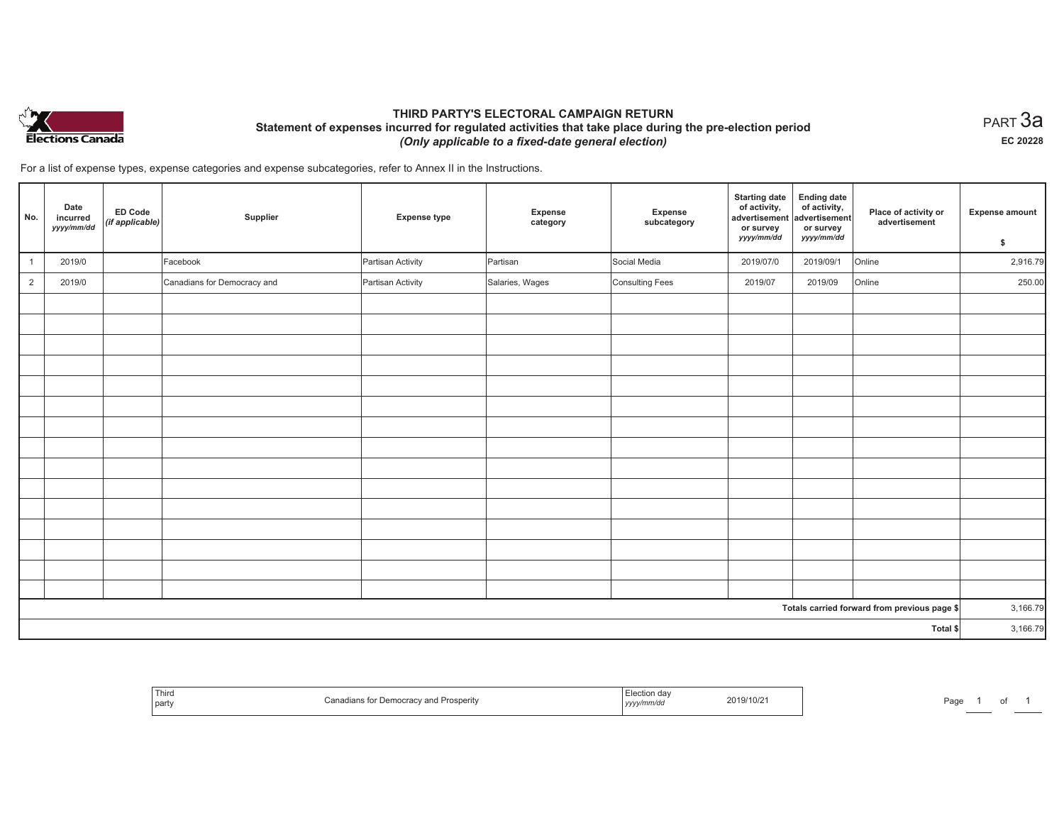

# **THIRD PARTY'S ELECTORAL CAMPAIGN RETURN Statement of expenses incurred for regulated activities that take place during the pre-election period**  *(Only applicable to a fixed-date general election)*

 $_{\sf PART}$ 3a **EC 20228**

For a list of expense types, expense categories and expense subcategories, refer to Annex II in the Instructions.

| No.            | Date<br>incurred<br>yyyy/mm/dd | <b>ED Code</b><br>$\vert$ (if applicable) | Supplier                    | <b>Expense type</b> | Expense<br>category | Expense<br>subcategory | <b>Starting date</b><br>of activity,<br>advertisement<br>or survey<br>yyyy/mm/dd | <b>Ending date</b><br>of activity,<br>advertisement<br>or survey<br>yyyy/mm/dd | Place of activity or<br>advertisement        | <b>Expense amount</b><br>\$ |
|----------------|--------------------------------|-------------------------------------------|-----------------------------|---------------------|---------------------|------------------------|----------------------------------------------------------------------------------|--------------------------------------------------------------------------------|----------------------------------------------|-----------------------------|
| $\overline{1}$ | 2019/0                         |                                           | Facebook                    | Partisan Activity   | Partisan            | Social Media           | 2019/07/0                                                                        | 2019/09/1                                                                      | Online                                       | 2,916.79                    |
| $\overline{2}$ | 2019/0                         |                                           | Canadians for Democracy and | Partisan Activity   | Salaries, Wages     | <b>Consulting Fees</b> | 2019/07                                                                          | 2019/09                                                                        | Online                                       | 250.00                      |
|                |                                |                                           |                             |                     |                     |                        |                                                                                  |                                                                                |                                              |                             |
|                |                                |                                           |                             |                     |                     |                        |                                                                                  |                                                                                |                                              |                             |
|                |                                |                                           |                             |                     |                     |                        |                                                                                  |                                                                                |                                              |                             |
|                |                                |                                           |                             |                     |                     |                        |                                                                                  |                                                                                |                                              |                             |
|                |                                |                                           |                             |                     |                     |                        |                                                                                  |                                                                                |                                              |                             |
|                |                                |                                           |                             |                     |                     |                        |                                                                                  |                                                                                |                                              |                             |
|                |                                |                                           |                             |                     |                     |                        |                                                                                  |                                                                                |                                              |                             |
|                |                                |                                           |                             |                     |                     |                        |                                                                                  |                                                                                |                                              |                             |
|                |                                |                                           |                             |                     |                     |                        |                                                                                  |                                                                                |                                              |                             |
|                |                                |                                           |                             |                     |                     |                        |                                                                                  |                                                                                |                                              |                             |
|                |                                |                                           |                             |                     |                     |                        |                                                                                  |                                                                                |                                              |                             |
|                |                                |                                           |                             |                     |                     |                        |                                                                                  |                                                                                |                                              |                             |
|                |                                |                                           |                             |                     |                     |                        |                                                                                  |                                                                                |                                              |                             |
|                |                                |                                           |                             |                     |                     |                        |                                                                                  |                                                                                |                                              |                             |
|                |                                |                                           |                             |                     |                     |                        |                                                                                  |                                                                                |                                              |                             |
|                |                                |                                           |                             |                     |                     |                        |                                                                                  |                                                                                | Totals carried forward from previous page \$ | 3,166.79                    |
| Total \$       |                                |                                           |                             |                     |                     |                        | 3,166.79                                                                         |                                                                                |                                              |                             |

|  | <b>Contractor</b> of the Contractor<br>$-1$<br>Third<br>' part | USUELILV | 1111. | 2019/10/2<br>the contract of the contract of the contract of the contract of the contract of | Pag |  |  |
|--|----------------------------------------------------------------|----------|-------|----------------------------------------------------------------------------------------------|-----|--|--|
|--|----------------------------------------------------------------|----------|-------|----------------------------------------------------------------------------------------------|-----|--|--|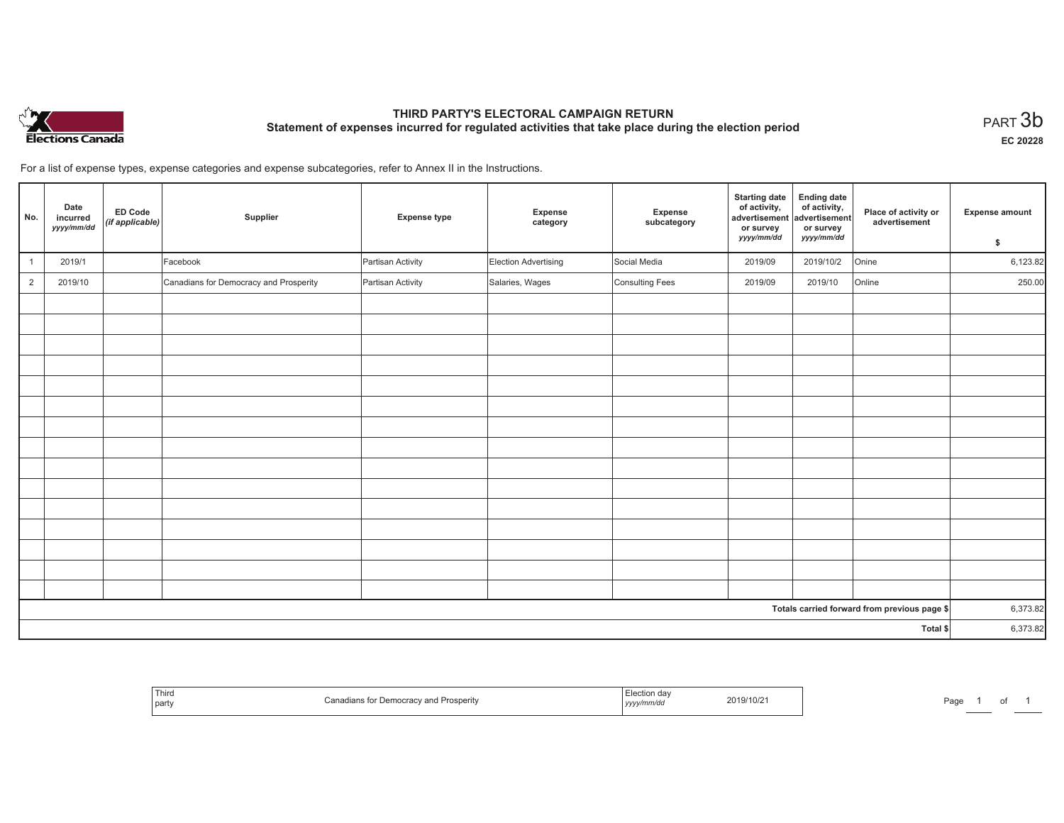

# **THIRD PARTY'S ELECTORAL CAMPAIGN RETURN Statement of expenses incurred for regulated activities that take place during the election period**<br>PART  $3\mathsf{b}$

**EC 20228**

For a list of expense types, expense categories and expense subcategories, refer to Annex II in the Instructions.

| No.            | Date<br>incurred<br>yyyy/mm/dd | ED Code<br>(if applicable) | Supplier                               | <b>Expense type</b> | Expense<br>category  | Expense<br>subcategory | <b>Starting date</b><br>of activity,<br>advertisement<br>or survey<br>yyyy/mm/dd | <b>Ending date</b><br>of activity,<br>advertisement<br>or survey<br>yyyy/mm/dd | Place of activity or<br>advertisement        | <b>Expense amount</b><br>\$ |
|----------------|--------------------------------|----------------------------|----------------------------------------|---------------------|----------------------|------------------------|----------------------------------------------------------------------------------|--------------------------------------------------------------------------------|----------------------------------------------|-----------------------------|
| $\overline{1}$ | 2019/1                         |                            | Facebook                               | Partisan Activity   | Election Advertising | Social Media           | 2019/09                                                                          | 2019/10/2                                                                      | Onine                                        | 6,123.82                    |
| $\overline{2}$ | 2019/10                        |                            | Canadians for Democracy and Prosperity | Partisan Activity   | Salaries, Wages      | Consulting Fees        | 2019/09                                                                          | 2019/10                                                                        | Online                                       | 250.00                      |
|                |                                |                            |                                        |                     |                      |                        |                                                                                  |                                                                                |                                              |                             |
|                |                                |                            |                                        |                     |                      |                        |                                                                                  |                                                                                |                                              |                             |
|                |                                |                            |                                        |                     |                      |                        |                                                                                  |                                                                                |                                              |                             |
|                |                                |                            |                                        |                     |                      |                        |                                                                                  |                                                                                |                                              |                             |
|                |                                |                            |                                        |                     |                      |                        |                                                                                  |                                                                                |                                              |                             |
|                |                                |                            |                                        |                     |                      |                        |                                                                                  |                                                                                |                                              |                             |
|                |                                |                            |                                        |                     |                      |                        |                                                                                  |                                                                                |                                              |                             |
|                |                                |                            |                                        |                     |                      |                        |                                                                                  |                                                                                |                                              |                             |
|                |                                |                            |                                        |                     |                      |                        |                                                                                  |                                                                                |                                              |                             |
|                |                                |                            |                                        |                     |                      |                        |                                                                                  |                                                                                |                                              |                             |
|                |                                |                            |                                        |                     |                      |                        |                                                                                  |                                                                                |                                              |                             |
|                |                                |                            |                                        |                     |                      |                        |                                                                                  |                                                                                |                                              |                             |
|                |                                |                            |                                        |                     |                      |                        |                                                                                  |                                                                                |                                              |                             |
|                |                                |                            |                                        |                     |                      |                        |                                                                                  |                                                                                |                                              |                             |
|                |                                |                            |                                        |                     |                      |                        |                                                                                  |                                                                                |                                              |                             |
|                |                                |                            |                                        |                     |                      |                        |                                                                                  |                                                                                | Totals carried forward from previous page \$ | 6,373.82                    |
| Total \$       |                                |                            |                                        |                     |                      |                        | 6,373.82                                                                         |                                                                                |                                              |                             |

| Third<br>  part | ' Prosperitv<br>Democracy<br>`anadians . | -lection<br>yyyy/mm/dd | 2019/10/21 | Page |  | . |  |
|-----------------|------------------------------------------|------------------------|------------|------|--|---|--|
|-----------------|------------------------------------------|------------------------|------------|------|--|---|--|